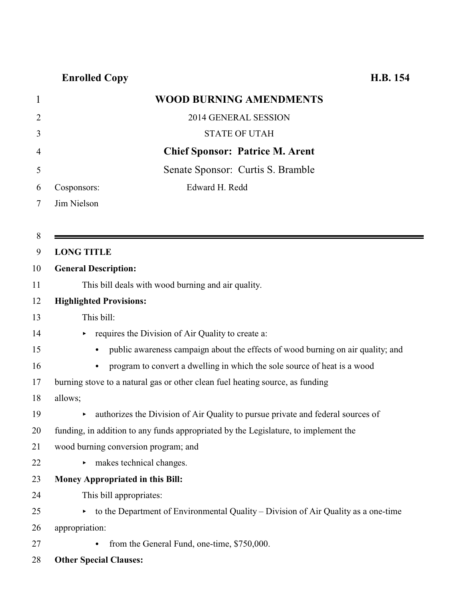| 1              | <b>WOOD BURNING AMENDMENTS</b>                                                                      |
|----------------|-----------------------------------------------------------------------------------------------------|
| $\overline{2}$ | 2014 GENERAL SESSION                                                                                |
| 3              | <b>STATE OF UTAH</b>                                                                                |
| 4              | <b>Chief Sponsor: Patrice M. Arent</b>                                                              |
| 5              | Senate Sponsor: Curtis S. Bramble                                                                   |
| 6              | Edward H. Redd<br>Cosponsors:                                                                       |
| 7              | Jim Nielson                                                                                         |
|                |                                                                                                     |
| 8              |                                                                                                     |
| 9              | <b>LONG TITLE</b>                                                                                   |
| 10             | <b>General Description:</b>                                                                         |
| 11             | This bill deals with wood burning and air quality.                                                  |
| 12             | <b>Highlighted Provisions:</b>                                                                      |
| 13             | This bill:                                                                                          |
| 14             | requires the Division of Air Quality to create a:                                                   |
| 15             | public awareness campaign about the effects of wood burning on air quality; and<br>$\bullet$        |
| 16             | program to convert a dwelling in which the sole source of heat is a wood<br>$\bullet$               |
| 17             | burning stove to a natural gas or other clean fuel heating source, as funding                       |
| 18             | allows;                                                                                             |
| 19             | authorizes the Division of Air Quality to pursue private and federal sources of                     |
| 20             | funding, in addition to any funds appropriated by the Legislature, to implement the                 |
| 21             | wood burning conversion program; and                                                                |
| 22             | makes technical changes.                                                                            |
| 23             | Money Appropriated in this Bill:                                                                    |
| 24             | This bill appropriates:                                                                             |
| 25             | $\triangleright$ to the Department of Environmental Quality – Division of Air Quality as a one-time |
| 26             | appropriation:                                                                                      |
| 27             | from the General Fund, one-time, \$750,000.<br>$\bullet$                                            |
| 28             | <b>Other Special Clauses:</b>                                                                       |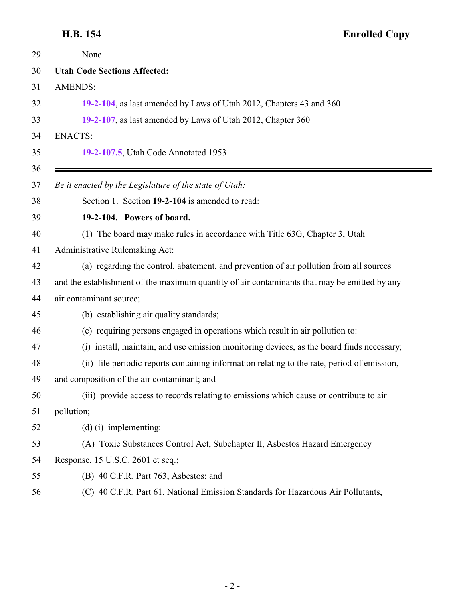### <span id="page-1-0"></span>**H.B. 154**

| <b>Enrolled Copy</b> |  |
|----------------------|--|
|----------------------|--|

| 29 | None                                                                                         |
|----|----------------------------------------------------------------------------------------------|
| 30 | <b>Utah Code Sections Affected:</b>                                                          |
| 31 | <b>AMENDS:</b>                                                                               |
| 32 | 19-2-104, as last amended by Laws of Utah 2012, Chapters 43 and 360                          |
| 33 | 19-2-107, as last amended by Laws of Utah 2012, Chapter 360                                  |
| 34 | <b>ENACTS:</b>                                                                               |
| 35 | 19-2-107.5, Utah Code Annotated 1953                                                         |
| 36 |                                                                                              |
| 37 | Be it enacted by the Legislature of the state of Utah:                                       |
| 38 | Section 1. Section 19-2-104 is amended to read:                                              |
| 39 | 19-2-104. Powers of board.                                                                   |
| 40 | (1) The board may make rules in accordance with Title 63G, Chapter 3, Utah                   |
| 41 | Administrative Rulemaking Act:                                                               |
| 42 | (a) regarding the control, abatement, and prevention of air pollution from all sources       |
| 43 | and the establishment of the maximum quantity of air contaminants that may be emitted by any |
| 44 | air contaminant source;                                                                      |
| 45 | (b) establishing air quality standards;                                                      |
| 46 | (c) requiring persons engaged in operations which result in air pollution to:                |
| 47 | (i) install, maintain, and use emission monitoring devices, as the board finds necessary;    |
| 48 | (ii) file periodic reports containing information relating to the rate, period of emission,  |
| 49 | and composition of the air contaminant; and                                                  |
| 50 | (iii) provide access to records relating to emissions which cause or contribute to air       |
| 51 | pollution;                                                                                   |
| 52 | $(d)$ (i) implementing:                                                                      |
| 53 | (A) Toxic Substances Control Act, Subchapter II, Asbestos Hazard Emergency                   |
| 54 | Response, 15 U.S.C. 2601 et seq.;                                                            |
| 55 | (B) 40 C.F.R. Part 763, Asbestos; and                                                        |
| 56 | (C) 40 C.F.R. Part 61, National Emission Standards for Hazardous Air Pollutants,             |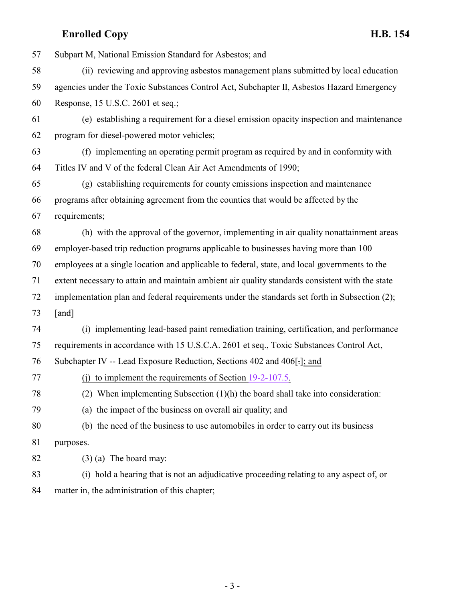| 57 | Subpart M, National Emission Standard for Asbestos; and                                         |
|----|-------------------------------------------------------------------------------------------------|
| 58 | (ii) reviewing and approving asbestos management plans submitted by local education             |
| 59 | agencies under the Toxic Substances Control Act, Subchapter II, Asbestos Hazard Emergency       |
| 60 | Response, 15 U.S.C. 2601 et seq.;                                                               |
| 61 | (e) establishing a requirement for a diesel emission opacity inspection and maintenance         |
| 62 | program for diesel-powered motor vehicles;                                                      |
| 63 | (f) implementing an operating permit program as required by and in conformity with              |
| 64 | Titles IV and V of the federal Clean Air Act Amendments of 1990;                                |
| 65 | (g) establishing requirements for county emissions inspection and maintenance                   |
| 66 | programs after obtaining agreement from the counties that would be affected by the              |
| 67 | requirements;                                                                                   |
| 68 | (h) with the approval of the governor, implementing in air quality nonattainment areas          |
| 69 | employer-based trip reduction programs applicable to businesses having more than 100            |
| 70 | employees at a single location and applicable to federal, state, and local governments to the   |
| 71 | extent necessary to attain and maintain ambient air quality standards consistent with the state |
| 72 | implementation plan and federal requirements under the standards set forth in Subsection (2);   |
| 73 | $\lceil \text{and} \rceil$                                                                      |
| 74 | (i) implementing lead-based paint remediation training, certification, and performance          |
| 75 | requirements in accordance with 15 U.S.C.A. 2601 et seq., Toxic Substances Control Act,         |
| 76 | Subchapter IV -- Lead Exposure Reduction, Sections 402 and 406.                                 |
| 77 | (j) to implement the requirements of Section $19-2-107.5$ .                                     |
| 78 | (2) When implementing Subsection $(1)(h)$ the board shall take into consideration:              |
| 79 | (a) the impact of the business on overall air quality; and                                      |
| 80 | (b) the need of the business to use automobiles in order to carry out its business              |
| 81 | purposes.                                                                                       |
| 82 | $(3)$ (a) The board may:                                                                        |
| 83 | (i) hold a hearing that is not an adjudicative proceeding relating to any aspect of, or         |
| 84 | matter in, the administration of this chapter;                                                  |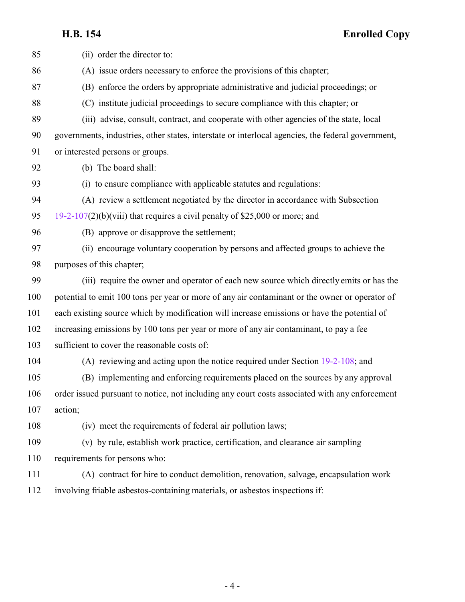**H.B. 154 Enrolled Copy**

| 85  | (ii) order the director to:                                                                       |
|-----|---------------------------------------------------------------------------------------------------|
| 86  | (A) issue orders necessary to enforce the provisions of this chapter;                             |
| 87  | (B) enforce the orders by appropriate administrative and judicial proceedings; or                 |
| 88  | (C) institute judicial proceedings to secure compliance with this chapter; or                     |
| 89  | (iii) advise, consult, contract, and cooperate with other agencies of the state, local            |
| 90  | governments, industries, other states, interstate or interlocal agencies, the federal government, |
| 91  | or interested persons or groups.                                                                  |
| 92  | (b) The board shall:                                                                              |
| 93  | (i) to ensure compliance with applicable statutes and regulations:                                |
| 94  | (A) review a settlement negotiated by the director in accordance with Subsection                  |
| 95  | $19-2-107(2)(b)(viii)$ that requires a civil penalty of \$25,000 or more; and                     |
| 96  | (B) approve or disapprove the settlement;                                                         |
| 97  | (ii) encourage voluntary cooperation by persons and affected groups to achieve the                |
| 98  | purposes of this chapter;                                                                         |
| 99  | (iii) require the owner and operator of each new source which directly emits or has the           |
| 100 | potential to emit 100 tons per year or more of any air contaminant or the owner or operator of    |
| 101 | each existing source which by modification will increase emissions or have the potential of       |
| 102 | increasing emissions by 100 tons per year or more of any air contaminant, to pay a fee            |
| 103 | sufficient to cover the reasonable costs of:                                                      |
| 104 | (A) reviewing and acting upon the notice required under Section $19-2-108$ ; and                  |
| 105 | (B) implementing and enforcing requirements placed on the sources by any approval                 |
| 106 | order issued pursuant to notice, not including any court costs associated with any enforcement    |
| 107 | action;                                                                                           |
| 108 | (iv) meet the requirements of federal air pollution laws;                                         |
| 109 | (v) by rule, establish work practice, certification, and clearance air sampling                   |
| 110 | requirements for persons who:                                                                     |
| 111 | (A) contract for hire to conduct demolition, renovation, salvage, encapsulation work              |
| 112 | involving friable asbestos-containing materials, or asbestos inspections if:                      |
|     |                                                                                                   |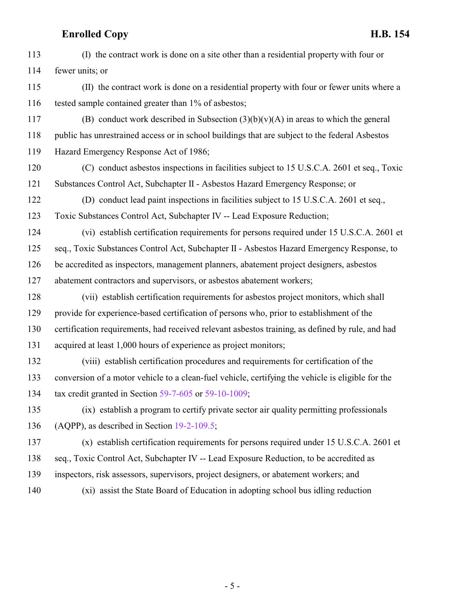| 113 | (I) the contract work is done on a site other than a residential property with four or            |
|-----|---------------------------------------------------------------------------------------------------|
| 114 | fewer units; or                                                                                   |
| 115 | (II) the contract work is done on a residential property with four or fewer units where a         |
| 116 | tested sample contained greater than 1% of asbestos;                                              |
| 117 | (B) conduct work described in Subsection $(3)(b)(v)(A)$ in areas to which the general             |
| 118 | public has unrestrained access or in school buildings that are subject to the federal Asbestos    |
| 119 | Hazard Emergency Response Act of 1986;                                                            |
| 120 | (C) conduct asbestos inspections in facilities subject to 15 U.S.C.A. 2601 et seq., Toxic         |
| 121 | Substances Control Act, Subchapter II - Asbestos Hazard Emergency Response; or                    |
| 122 | (D) conduct lead paint inspections in facilities subject to 15 U.S.C.A. 2601 et seq.,             |
| 123 | Toxic Substances Control Act, Subchapter IV -- Lead Exposure Reduction;                           |
| 124 | (vi) establish certification requirements for persons required under 15 U.S.C.A. 2601 et          |
| 125 | seq., Toxic Substances Control Act, Subchapter II - Asbestos Hazard Emergency Response, to        |
| 126 | be accredited as inspectors, management planners, abatement project designers, asbestos           |
| 127 | abatement contractors and supervisors, or asbestos abatement workers;                             |
| 128 | (vii) establish certification requirements for asbestos project monitors, which shall             |
| 129 | provide for experience-based certification of persons who, prior to establishment of the          |
| 130 | certification requirements, had received relevant asbestos training, as defined by rule, and had  |
| 131 | acquired at least 1,000 hours of experience as project monitors;                                  |
| 132 | (viii) establish certification procedures and requirements for certification of the               |
| 133 | conversion of a motor vehicle to a clean-fuel vehicle, certifying the vehicle is eligible for the |
| 134 | tax credit granted in Section $59-7-605$ or $59-10-1009$ ;                                        |
| 135 | (ix) establish a program to certify private sector air quality permitting professionals           |
| 136 | (AQPP), as described in Section 19-2-109.5;                                                       |
| 137 | (x) establish certification requirements for persons required under 15 U.S.C.A. 2601 et           |
| 138 | seq., Toxic Control Act, Subchapter IV -- Lead Exposure Reduction, to be accredited as            |
| 139 | inspectors, risk assessors, supervisors, project designers, or abatement workers; and             |
| 140 | (xi) assist the State Board of Education in adopting school bus idling reduction                  |
|     |                                                                                                   |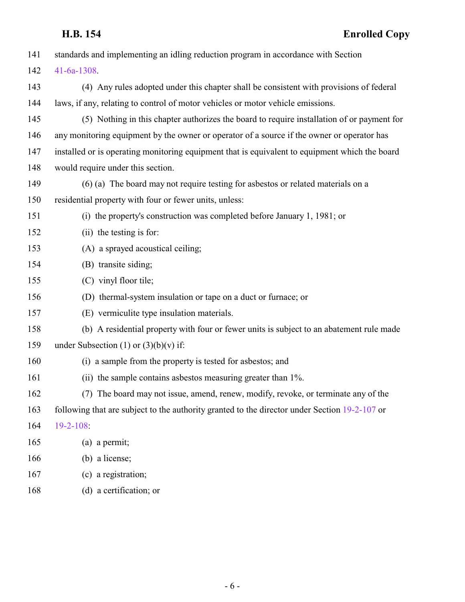| 141 | standards and implementing an idling reduction program in accordance with Section              |
|-----|------------------------------------------------------------------------------------------------|
| 142 | $41 - 6a - 1308$                                                                               |
| 143 | (4) Any rules adopted under this chapter shall be consistent with provisions of federal        |
| 144 | laws, if any, relating to control of motor vehicles or motor vehicle emissions.                |
| 145 | (5) Nothing in this chapter authorizes the board to require installation of or payment for     |
| 146 | any monitoring equipment by the owner or operator of a source if the owner or operator has     |
| 147 | installed or is operating monitoring equipment that is equivalent to equipment which the board |
| 148 | would require under this section.                                                              |
| 149 | (6) (a) The board may not require testing for asbestos or related materials on a               |
| 150 | residential property with four or fewer units, unless:                                         |
| 151 | (i) the property's construction was completed before January 1, 1981; or                       |
| 152 | (ii) the testing is for:                                                                       |
| 153 | (A) a sprayed acoustical ceiling;                                                              |
| 154 | (B) transite siding;                                                                           |
| 155 | (C) vinyl floor tile;                                                                          |
| 156 | (D) thermal-system insulation or tape on a duct or furnace; or                                 |
| 157 | (E) vermiculite type insulation materials.                                                     |
| 158 | (b) A residential property with four or fewer units is subject to an abatement rule made       |
| 159 | under Subsection (1) or $(3)(b)(v)$ if:                                                        |
| 160 | (i) a sample from the property is tested for asbestos; and                                     |
| 161 | (ii) the sample contains asbestos measuring greater than 1%.                                   |
| 162 | (7) The board may not issue, amend, renew, modify, revoke, or terminate any of the             |
| 163 | following that are subject to the authority granted to the director under Section 19-2-107 or  |
| 164 | 19-2-108:                                                                                      |
| 165 | (a) a permit;                                                                                  |
| 166 | (b) a license;                                                                                 |
| 167 | (c) a registration;                                                                            |
| 168 | (d) a certification; or                                                                        |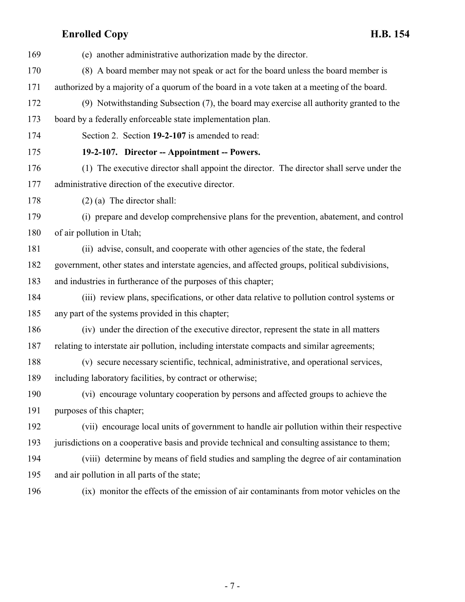<span id="page-6-0"></span>

| 169 | (e) another administrative authorization made by the director.                                 |
|-----|------------------------------------------------------------------------------------------------|
| 170 | (8) A board member may not speak or act for the board unless the board member is               |
| 171 | authorized by a majority of a quorum of the board in a vote taken at a meeting of the board.   |
| 172 | (9) Notwithstanding Subsection (7), the board may exercise all authority granted to the        |
| 173 | board by a federally enforceable state implementation plan.                                    |
| 174 | Section 2. Section 19-2-107 is amended to read:                                                |
| 175 | 19-2-107. Director -- Appointment -- Powers.                                                   |
| 176 | (1) The executive director shall appoint the director. The director shall serve under the      |
| 177 | administrative direction of the executive director.                                            |
| 178 | $(2)$ (a) The director shall:                                                                  |
| 179 | (i) prepare and develop comprehensive plans for the prevention, abatement, and control         |
| 180 | of air pollution in Utah;                                                                      |
| 181 | (ii) advise, consult, and cooperate with other agencies of the state, the federal              |
| 182 | government, other states and interstate agencies, and affected groups, political subdivisions, |
| 183 | and industries in furtherance of the purposes of this chapter;                                 |
| 184 | (iii) review plans, specifications, or other data relative to pollution control systems or     |
| 185 | any part of the systems provided in this chapter;                                              |
| 186 | (iv) under the direction of the executive director, represent the state in all matters         |
| 187 | relating to interstate air pollution, including interstate compacts and similar agreements;    |
| 188 | (v) secure necessary scientific, technical, administrative, and operational services,          |
| 189 | including laboratory facilities, by contract or otherwise;                                     |
| 190 | (vi) encourage voluntary cooperation by persons and affected groups to achieve the             |
| 191 | purposes of this chapter;                                                                      |
| 192 | (vii) encourage local units of government to handle air pollution within their respective      |
| 193 | jurisdictions on a cooperative basis and provide technical and consulting assistance to them;  |
| 194 | (viii) determine by means of field studies and sampling the degree of air contamination        |
| 195 | and air pollution in all parts of the state;                                                   |
| 196 | (ix) monitor the effects of the emission of air contaminants from motor vehicles on the        |

- 7 -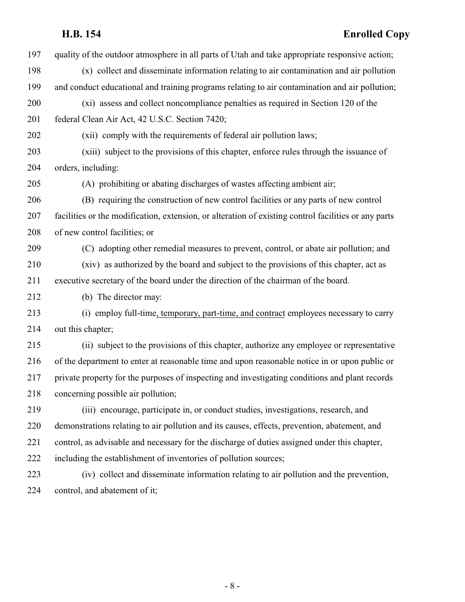# **H.B. 154 Enrolled Copy**

| 197 | quality of the outdoor atmosphere in all parts of Utah and take appropriate responsive action;       |
|-----|------------------------------------------------------------------------------------------------------|
| 198 | (x) collect and disseminate information relating to air contamination and air pollution              |
| 199 | and conduct educational and training programs relating to air contamination and air pollution;       |
| 200 | (xi) assess and collect noncompliance penalties as required in Section 120 of the                    |
| 201 | federal Clean Air Act, 42 U.S.C. Section 7420;                                                       |
| 202 | (xii) comply with the requirements of federal air pollution laws;                                    |
| 203 | (xiii) subject to the provisions of this chapter, enforce rules through the issuance of              |
| 204 | orders, including:                                                                                   |
| 205 | (A) prohibiting or abating discharges of wastes affecting ambient air;                               |
| 206 | (B) requiring the construction of new control facilities or any parts of new control                 |
| 207 | facilities or the modification, extension, or alteration of existing control facilities or any parts |
| 208 | of new control facilities; or                                                                        |
| 209 | (C) adopting other remedial measures to prevent, control, or abate air pollution; and                |
| 210 | (xiv) as authorized by the board and subject to the provisions of this chapter, act as               |
| 211 | executive secretary of the board under the direction of the chairman of the board.                   |
| 212 | (b) The director may:                                                                                |
| 213 | (i) employ full-time, temporary, part-time, and contract employees necessary to carry                |
| 214 | out this chapter;                                                                                    |
| 215 | (ii) subject to the provisions of this chapter, authorize any employee or representative             |
| 216 | of the department to enter at reasonable time and upon reasonable notice in or upon public or        |
| 217 | private property for the purposes of inspecting and investigating conditions and plant records       |
| 218 | concerning possible air pollution;                                                                   |
| 219 | (iii) encourage, participate in, or conduct studies, investigations, research, and                   |
| 220 | demonstrations relating to air pollution and its causes, effects, prevention, abatement, and         |
| 221 | control, as advisable and necessary for the discharge of duties assigned under this chapter,         |
| 222 | including the establishment of inventories of pollution sources;                                     |
| 223 | (iv) collect and disseminate information relating to air pollution and the prevention,               |
| 224 | control, and abatement of it;                                                                        |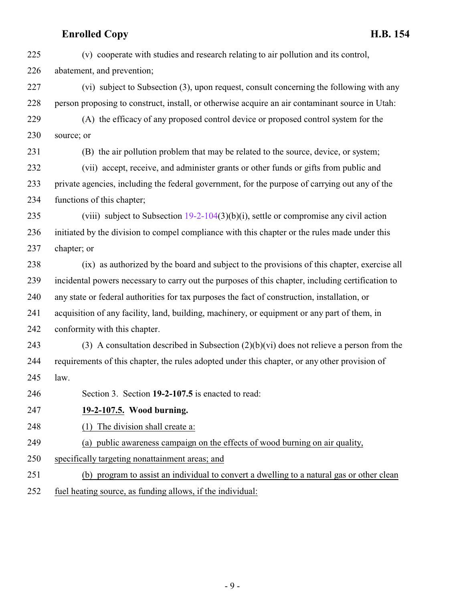<span id="page-8-0"></span>

| 225 | (v) cooperate with studies and research relating to air pollution and its control,                |
|-----|---------------------------------------------------------------------------------------------------|
| 226 | abatement, and prevention;                                                                        |
| 227 | (vi) subject to Subsection (3), upon request, consult concerning the following with any           |
| 228 | person proposing to construct, install, or otherwise acquire an air contaminant source in Utah:   |
| 229 | (A) the efficacy of any proposed control device or proposed control system for the                |
| 230 | source; or                                                                                        |
| 231 | (B) the air pollution problem that may be related to the source, device, or system;               |
| 232 | (vii) accept, receive, and administer grants or other funds or gifts from public and              |
| 233 | private agencies, including the federal government, for the purpose of carrying out any of the    |
| 234 | functions of this chapter;                                                                        |
| 235 | (viii) subject to Subsection $19-2-104(3)(b)(i)$ , settle or compromise any civil action          |
| 236 | initiated by the division to compel compliance with this chapter or the rules made under this     |
| 237 | chapter; or                                                                                       |
| 238 | (ix) as authorized by the board and subject to the provisions of this chapter, exercise all       |
| 239 | incidental powers necessary to carry out the purposes of this chapter, including certification to |
| 240 | any state or federal authorities for tax purposes the fact of construction, installation, or      |
| 241 | acquisition of any facility, land, building, machinery, or equipment or any part of them, in      |
| 242 | conformity with this chapter.                                                                     |
| 243 | (3) A consultation described in Subsection $(2)(b)(vi)$ does not relieve a person from the        |
| 244 | requirements of this chapter, the rules adopted under this chapter, or any other provision of     |
| 245 | law.                                                                                              |
| 246 | Section 3. Section 19-2-107.5 is enacted to read:                                                 |
| 247 | 19-2-107.5. Wood burning.                                                                         |
| 248 | The division shall create a:<br>(1)                                                               |
| 249 | (a) public awareness campaign on the effects of wood burning on air quality,                      |
| 250 | specifically targeting nonattainment areas; and                                                   |
| 251 | (b) program to assist an individual to convert a dwelling to a natural gas or other clean         |
| 252 | fuel heating source, as funding allows, if the individual:                                        |